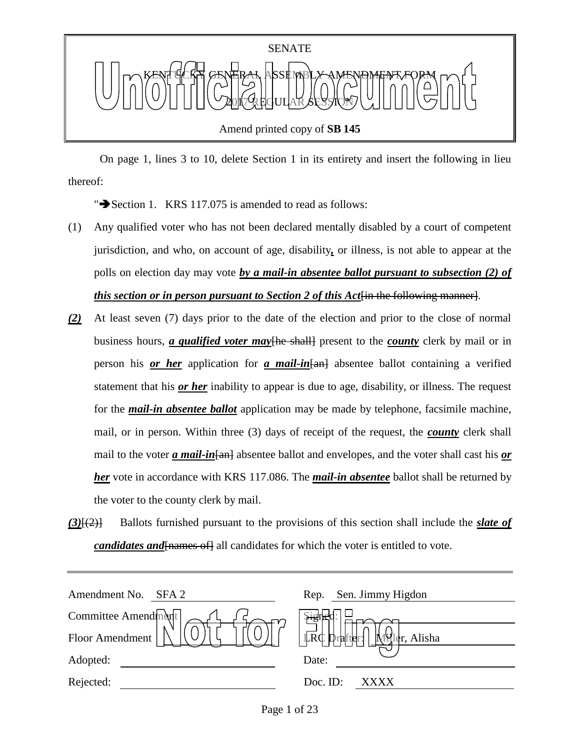

On page 1, lines 3 to 10, delete Section 1 in its entirety and insert the following in lieu

thereof:

" $\blacktriangleright$  Section 1. KRS 117.075 is amended to read as follows:

- (1) Any qualified voter who has not been declared mentally disabled by a court of competent jurisdiction, and who, on account of age, disability*,* or illness, is not able to appear at the polls on election day may vote *by a mail-in absentee ballot pursuant to subsection (2) of this section or in person pursuant to Section 2 of this Act*<sup>[in the following manner].</sup>
- *(2)* At least seven (7) days prior to the date of the election and prior to the close of normal business hours, *a qualified voter may*[he shall] present to the *county* clerk by mail or in person his *or her* application for *a mail-in*[an] absentee ballot containing a verified statement that his *or her* inability to appear is due to age, disability, or illness. The request for the *mail-in absentee ballot* application may be made by telephone, facsimile machine, mail, or in person. Within three (3) days of receipt of the request, the *county* clerk shall mail to the voter *a mail-in* [an] absentee ballot and envelopes, and the voter shall cast his *or her* vote in accordance with KRS 117.086. The *mail-in absentee* ballot shall be returned by the voter to the county clerk by mail.
- *(3)*[(2)] Ballots furnished pursuant to the provisions of this section shall include the *slate of candidates and* [*names of*] all candidates for which the voter is entitled to vote.

| Amendment No.<br>SFA 2 | Sen. Jimmy Higdon<br>Rep.             |
|------------------------|---------------------------------------|
| Committee Amendment    | Signek                                |
| Floor Amendment        | LRC I<br>er, Alisha<br>rafter:<br>MHI |
| Adopted:               | Date:                                 |
| Rejected:              | Doc. ID:<br>xxxx                      |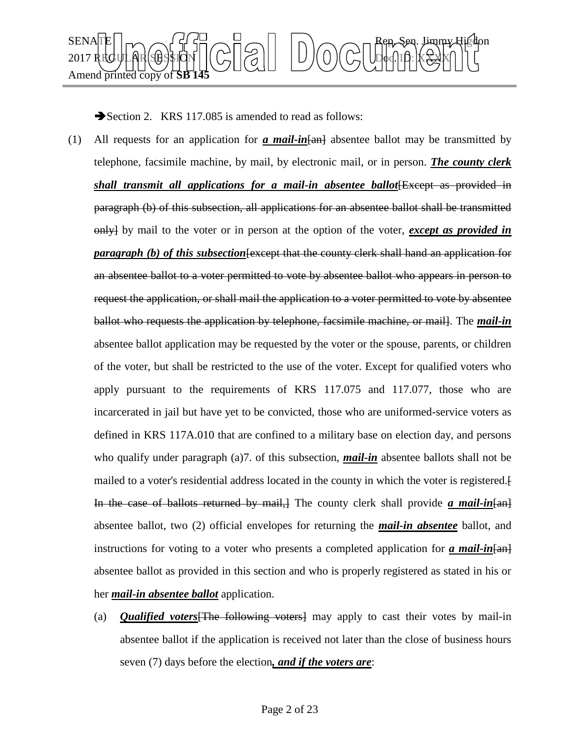

Section 2. KRS 117.085 is amended to read as follows:

- (1) All requests for an application for **a mail-in**  $\frac{1}{2}$  absentee ballot may be transmitted by telephone, facsimile machine, by mail, by electronic mail, or in person. *The county clerk shall transmit all applications for a mail-in absentee ballot* Except as provided in paragraph (b) of this subsection, all applications for an absentee ballot shall be transmitted only] by mail to the voter or in person at the option of the voter, *except as provided in paragraph (b) of this subsection* [except that the county clerk shall hand an application for an absentee ballot to a voter permitted to vote by absentee ballot who appears in person to request the application, or shall mail the application to a voter permitted to vote by absentee ballot who requests the application by telephone, facsimile machine, or mail]. The *mail-in* absentee ballot application may be requested by the voter or the spouse, parents, or children of the voter, but shall be restricted to the use of the voter. Except for qualified voters who apply pursuant to the requirements of KRS 117.075 and 117.077, those who are incarcerated in jail but have yet to be convicted, those who are uniformed-service voters as defined in KRS 117A.010 that are confined to a military base on election day, and persons who qualify under paragraph (a)7. of this subsection, *mail-in* absentee ballots shall not be mailed to a voter's residential address located in the county in which the voter is registered.[ In the case of ballots returned by mail,] The county clerk shall provide *a mail-in*[an] absentee ballot, two (2) official envelopes for returning the *mail-in absentee* ballot, and instructions for voting to a voter who presents a completed application for *a mail-in*[an] absentee ballot as provided in this section and who is properly registered as stated in his or her *mail-in absentee ballot* application.
	- (a) *Qualified voters*[The following voters] may apply to cast their votes by mail-in absentee ballot if the application is received not later than the close of business hours seven (7) days before the election*, and if the voters are*: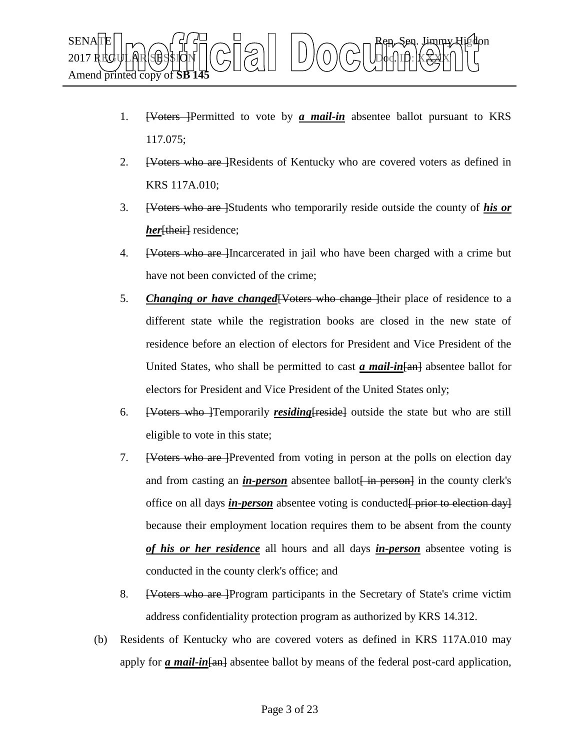

- 1. [Voters ]Permitted to vote by *a mail-in* absentee ballot pursuant to KRS 117.075;
- 2. <del>[Voters who are ]</del>Residents of Kentucky who are covered voters as defined in KRS 117A.010;
- 3. [Voters who are ]Students who temporarily reside outside the county of *his or her*<sup>[their]</sup> residence;
- 4. [Voters who are ]Incarcerated in jail who have been charged with a crime but have not been convicted of the crime;
- 5. *Changing or have changed* [Voters who change ] their place of residence to a different state while the registration books are closed in the new state of residence before an election of electors for President and Vice President of the United States, who shall be permitted to cast *a mail-in*[an] absentee ballot for electors for President and Vice President of the United States only;
- 6. [Voters who ]Temporarily *residing*[reside] outside the state but who are still eligible to vote in this state;
- 7. [Voters who are ]Prevented from voting in person at the polls on election day and from casting an *in-person* absentee ballot [in person] in the county clerk's office on all days *in-person* absentee voting is conducted<del>[ prior to election day]</del> because their employment location requires them to be absent from the county *of his or her residence* all hours and all days *in-person* absentee voting is conducted in the county clerk's office; and
- 8. [Voters who are Program participants in the Secretary of State's crime victim address confidentiality protection program as authorized by KRS 14.312.
- (b) Residents of Kentucky who are covered voters as defined in KRS 117A.010 may apply for *a mail-in* [and absentee ballot by means of the federal post-card application,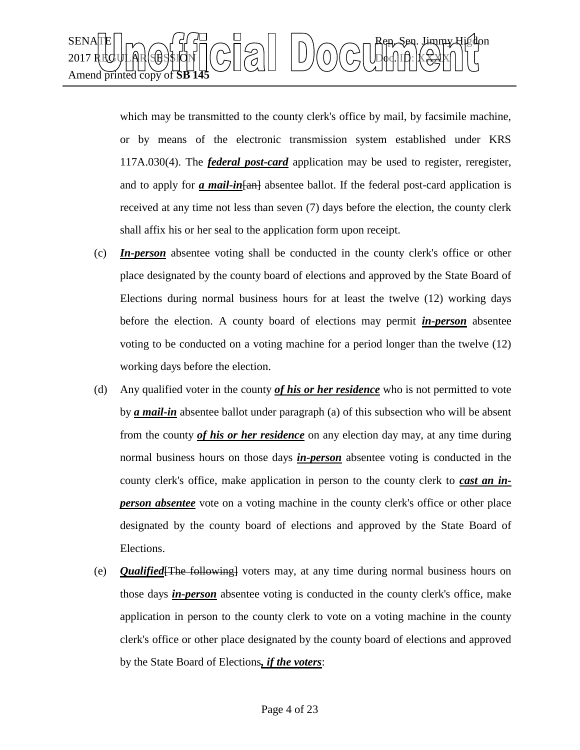

which may be transmitted to the county clerk's office by mail, by facsimile machine, or by means of the electronic transmission system established under KRS 117A.030(4). The *federal post-card* application may be used to register, reregister, and to apply for *a mail-in* [and absentee ballot. If the federal post-card application is received at any time not less than seven (7) days before the election, the county clerk shall affix his or her seal to the application form upon receipt.

- (c) *In-person* absentee voting shall be conducted in the county clerk's office or other place designated by the county board of elections and approved by the State Board of Elections during normal business hours for at least the twelve (12) working days before the election. A county board of elections may permit *in-person* absentee voting to be conducted on a voting machine for a period longer than the twelve (12) working days before the election.
- (d) Any qualified voter in the county *of his or her residence* who is not permitted to vote by *a mail-in* absentee ballot under paragraph (a) of this subsection who will be absent from the county *of his or her residence* on any election day may, at any time during normal business hours on those days *in-person* absentee voting is conducted in the county clerk's office, make application in person to the county clerk to *cast an inperson absentee* vote on a voting machine in the county clerk's office or other place designated by the county board of elections and approved by the State Board of Elections.
- (e) *Qualified*[The following] voters may, at any time during normal business hours on those days *in-person* absentee voting is conducted in the county clerk's office, make application in person to the county clerk to vote on a voting machine in the county clerk's office or other place designated by the county board of elections and approved by the State Board of Elections*, if the voters*: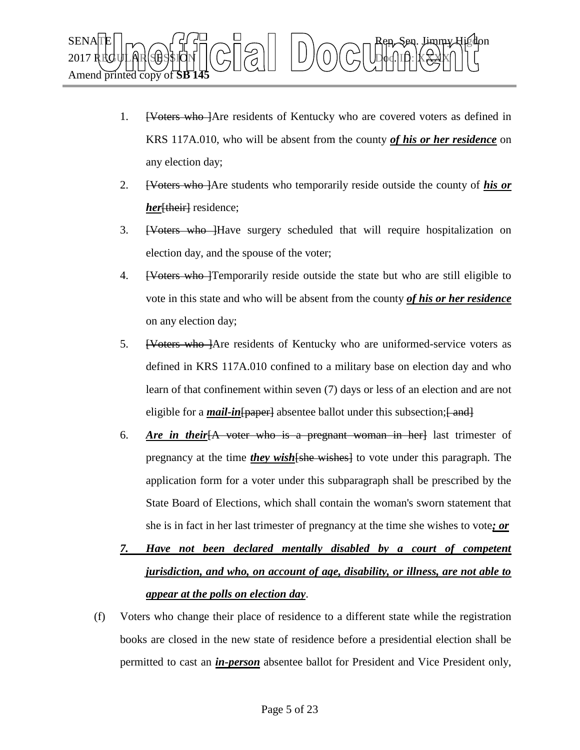

- 1. [Voters who ]Are residents of Kentucky who are covered voters as defined in KRS 117A.010, who will be absent from the county *of his or her residence* on any election day;
- 2. [Voters who ]Are students who temporarily reside outside the county of *his or her* [their] residence;
- 3. <del>[Voters who ]</del>Have surgery scheduled that will require hospitalization on election day, and the spouse of the voter;
- 4. [Voters who ]Temporarily reside outside the state but who are still eligible to vote in this state and who will be absent from the county *of his or her residence* on any election day;
- 5. <del>[Voters who ]</del>Are residents of Kentucky who are uniformed-service voters as defined in KRS 117A.010 confined to a military base on election day and who learn of that confinement within seven (7) days or less of an election and are not eligible for a *mail-in* [paper] absentee ballot under this subsection; [ and ]
- 6. *Are in their*[A voter who is a pregnant woman in her] last trimester of pregnancy at the time *they wish*[she wishes] to vote under this paragraph. The application form for a voter under this subparagraph shall be prescribed by the State Board of Elections, which shall contain the woman's sworn statement that she is in fact in her last trimester of pregnancy at the time she wishes to vote*; or*
- *7. Have not been declared mentally disabled by a court of competent jurisdiction, and who, on account of age, disability, or illness, are not able to appear at the polls on election day*.
- (f) Voters who change their place of residence to a different state while the registration books are closed in the new state of residence before a presidential election shall be permitted to cast an *in-person* absentee ballot for President and Vice President only,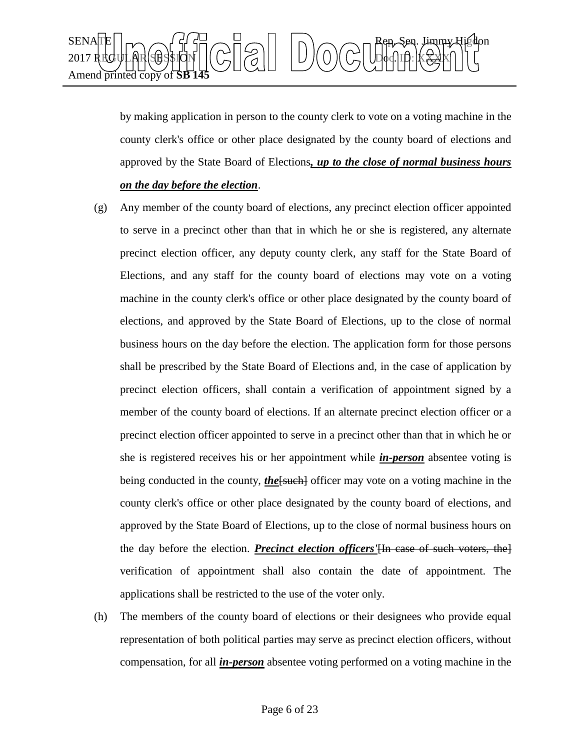

by making application in person to the county clerk to vote on a voting machine in the county clerk's office or other place designated by the county board of elections and approved by the State Board of Elections*, up to the close of normal business hours on the day before the election*.

- (g) Any member of the county board of elections, any precinct election officer appointed to serve in a precinct other than that in which he or she is registered, any alternate precinct election officer, any deputy county clerk, any staff for the State Board of Elections, and any staff for the county board of elections may vote on a voting machine in the county clerk's office or other place designated by the county board of elections, and approved by the State Board of Elections, up to the close of normal business hours on the day before the election. The application form for those persons shall be prescribed by the State Board of Elections and, in the case of application by precinct election officers, shall contain a verification of appointment signed by a member of the county board of elections. If an alternate precinct election officer or a precinct election officer appointed to serve in a precinct other than that in which he or she is registered receives his or her appointment while *in-person* absentee voting is being conducted in the county, *the*[such] officer may vote on a voting machine in the county clerk's office or other place designated by the county board of elections, and approved by the State Board of Elections, up to the close of normal business hours on the day before the election. *Precinct election officers'*[In case of such voters, the] verification of appointment shall also contain the date of appointment. The applications shall be restricted to the use of the voter only.
- (h) The members of the county board of elections or their designees who provide equal representation of both political parties may serve as precinct election officers, without compensation, for all *in-person* absentee voting performed on a voting machine in the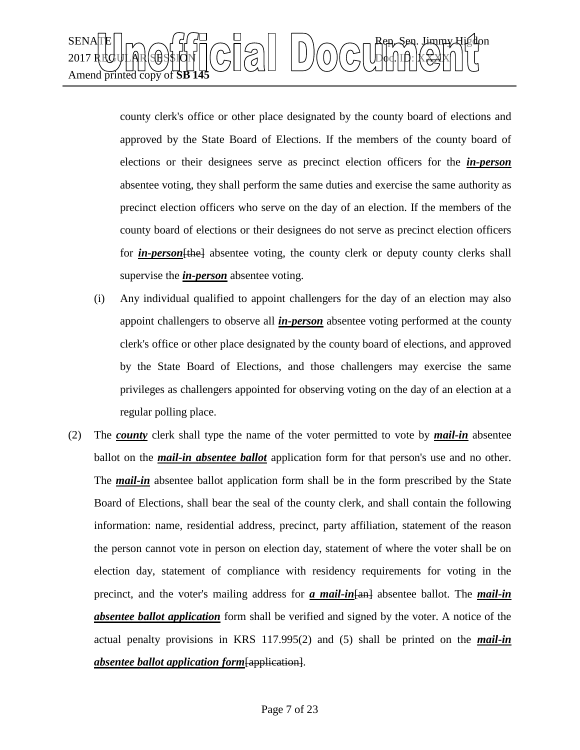

county clerk's office or other place designated by the county board of elections and approved by the State Board of Elections. If the members of the county board of elections or their designees serve as precinct election officers for the *in-person* absentee voting, they shall perform the same duties and exercise the same authority as precinct election officers who serve on the day of an election. If the members of the county board of elections or their designees do not serve as precinct election officers for *in-person*[the] absentee voting, the county clerk or deputy county clerks shall supervise the *in-person* absentee voting.

- (i) Any individual qualified to appoint challengers for the day of an election may also appoint challengers to observe all *in-person* absentee voting performed at the county clerk's office or other place designated by the county board of elections, and approved by the State Board of Elections, and those challengers may exercise the same privileges as challengers appointed for observing voting on the day of an election at a regular polling place.
- (2) The *county* clerk shall type the name of the voter permitted to vote by *mail-in* absentee ballot on the *mail-in absentee ballot* application form for that person's use and no other. The *mail-in* absentee ballot application form shall be in the form prescribed by the State Board of Elections, shall bear the seal of the county clerk, and shall contain the following information: name, residential address, precinct, party affiliation, statement of the reason the person cannot vote in person on election day, statement of where the voter shall be on election day, statement of compliance with residency requirements for voting in the precinct, and the voter's mailing address for *a mail-in*[an] absentee ballot. The *mail-in absentee ballot application* form shall be verified and signed by the voter. A notice of the actual penalty provisions in KRS 117.995(2) and (5) shall be printed on the *mail-in absentee ballot application form*[application].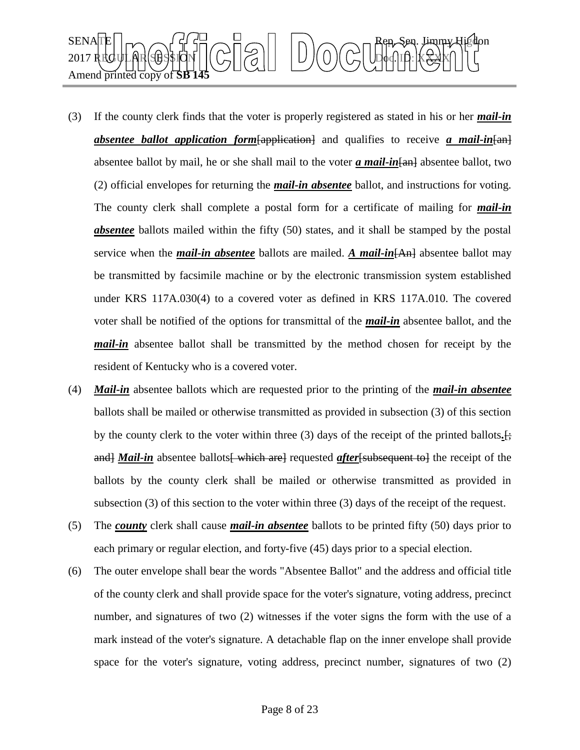

- (3) If the county clerk finds that the voter is properly registered as stated in his or her *mail-in absentee ballot application form*[application] and qualifies to receive *a mail-in*[an] absentee ballot by mail, he or she shall mail to the voter *a mail-in* [an] absentee ballot, two (2) official envelopes for returning the *mail-in absentee* ballot, and instructions for voting. The county clerk shall complete a postal form for a certificate of mailing for *mail-in absentee* ballots mailed within the fifty (50) states, and it shall be stamped by the postal service when the *mail-in absentee* ballots are mailed. *A mail-in*[An] absentee ballot may be transmitted by facsimile machine or by the electronic transmission system established under KRS 117A.030(4) to a covered voter as defined in KRS 117A.010. The covered voter shall be notified of the options for transmittal of the *mail-in* absentee ballot, and the *mail-in* absentee ballot shall be transmitted by the method chosen for receipt by the resident of Kentucky who is a covered voter.
- (4) *Mail-in* absentee ballots which are requested prior to the printing of the *mail-in absentee* ballots shall be mailed or otherwise transmitted as provided in subsection (3) of this section by the county clerk to the voter within three (3) days of the receipt of the printed ballots*.*[; and] *Mail-in* absentee ballots which are requested *after* [subsequent to] the receipt of the ballots by the county clerk shall be mailed or otherwise transmitted as provided in subsection (3) of this section to the voter within three (3) days of the receipt of the request.
- (5) The *county* clerk shall cause *mail-in absentee* ballots to be printed fifty (50) days prior to each primary or regular election, and forty-five (45) days prior to a special election.
- (6) The outer envelope shall bear the words "Absentee Ballot" and the address and official title of the county clerk and shall provide space for the voter's signature, voting address, precinct number, and signatures of two (2) witnesses if the voter signs the form with the use of a mark instead of the voter's signature. A detachable flap on the inner envelope shall provide space for the voter's signature, voting address, precinct number, signatures of two (2)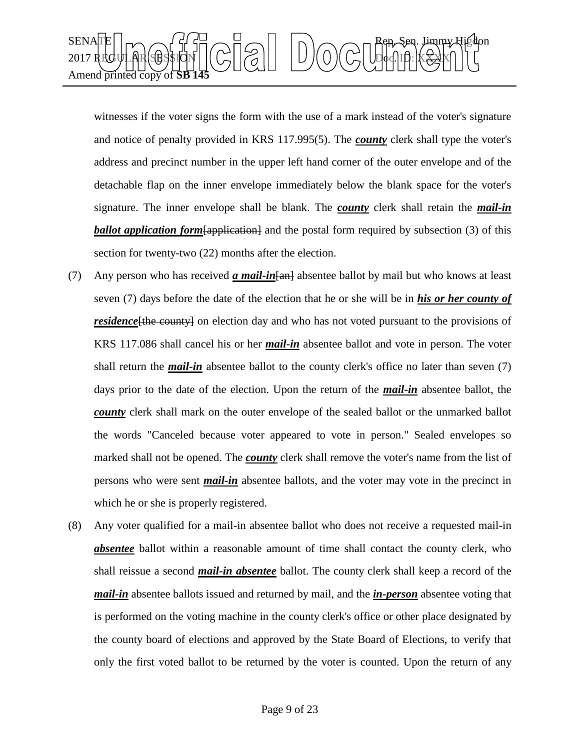

witnesses if the voter signs the form with the use of a mark instead of the voter's signature and notice of penalty provided in KRS 117.995(5). The *county* clerk shall type the voter's address and precinct number in the upper left hand corner of the outer envelope and of the detachable flap on the inner envelope immediately below the blank space for the voter's signature. The inner envelope shall be blank. The *county* clerk shall retain the *mail-in*  **ballot application form** [application] and the postal form required by subsection (3) of this section for twenty-two (22) months after the election.

- (7) Any person who has received *a mail-in*[an] absentee ballot by mail but who knows at least seven (7) days before the date of the election that he or she will be in *his or her county of residence* [the county] on election day and who has not voted pursuant to the provisions of KRS 117.086 shall cancel his or her *mail-in* absentee ballot and vote in person. The voter shall return the *mail-in* absentee ballot to the county clerk's office no later than seven (7) days prior to the date of the election. Upon the return of the *mail-in* absentee ballot, the *county* clerk shall mark on the outer envelope of the sealed ballot or the unmarked ballot the words "Canceled because voter appeared to vote in person." Sealed envelopes so marked shall not be opened. The *county* clerk shall remove the voter's name from the list of persons who were sent *mail-in* absentee ballots, and the voter may vote in the precinct in which he or she is properly registered.
- (8) Any voter qualified for a mail-in absentee ballot who does not receive a requested mail-in **absentee** ballot within a reasonable amount of time shall contact the county clerk, who shall reissue a second *mail-in absentee* ballot. The county clerk shall keep a record of the *mail-in* absentee ballots issued and returned by mail, and the *in-person* absentee voting that is performed on the voting machine in the county clerk's office or other place designated by the county board of elections and approved by the State Board of Elections, to verify that only the first voted ballot to be returned by the voter is counted. Upon the return of any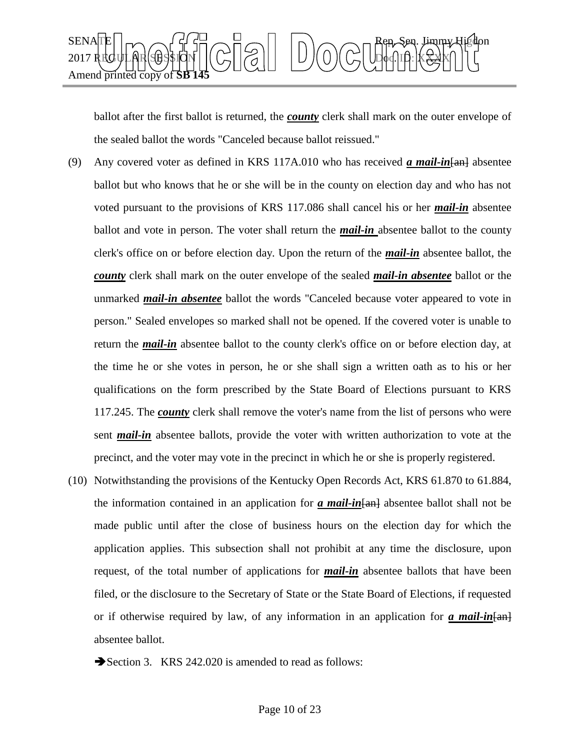

ballot after the first ballot is returned, the *county* clerk shall mark on the outer envelope of the sealed ballot the words "Canceled because ballot reissued."

- (9) Any covered voter as defined in KRS 117A.010 who has received *a mail-in*[an] absentee ballot but who knows that he or she will be in the county on election day and who has not voted pursuant to the provisions of KRS 117.086 shall cancel his or her *mail-in* absentee ballot and vote in person. The voter shall return the *mail-in* absentee ballot to the county clerk's office on or before election day. Upon the return of the *mail-in* absentee ballot, the *county* clerk shall mark on the outer envelope of the sealed *mail-in absentee* ballot or the unmarked *mail-in absentee* ballot the words "Canceled because voter appeared to vote in person." Sealed envelopes so marked shall not be opened. If the covered voter is unable to return the *mail-in* absentee ballot to the county clerk's office on or before election day, at the time he or she votes in person, he or she shall sign a written oath as to his or her qualifications on the form prescribed by the State Board of Elections pursuant to KRS 117.245. The *county* clerk shall remove the voter's name from the list of persons who were sent *mail-in* absentee ballots, provide the voter with written authorization to vote at the precinct, and the voter may vote in the precinct in which he or she is properly registered.
- (10) Notwithstanding the provisions of the Kentucky Open Records Act, KRS 61.870 to 61.884, the information contained in an application for *a mail-in*[an] absentee ballot shall not be made public until after the close of business hours on the election day for which the application applies. This subsection shall not prohibit at any time the disclosure, upon request, of the total number of applications for *mail-in* absentee ballots that have been filed, or the disclosure to the Secretary of State or the State Board of Elections, if requested or if otherwise required by law, of any information in an application for *a mail-in*[an] absentee ballot.
	- Section 3. KRS 242.020 is amended to read as follows: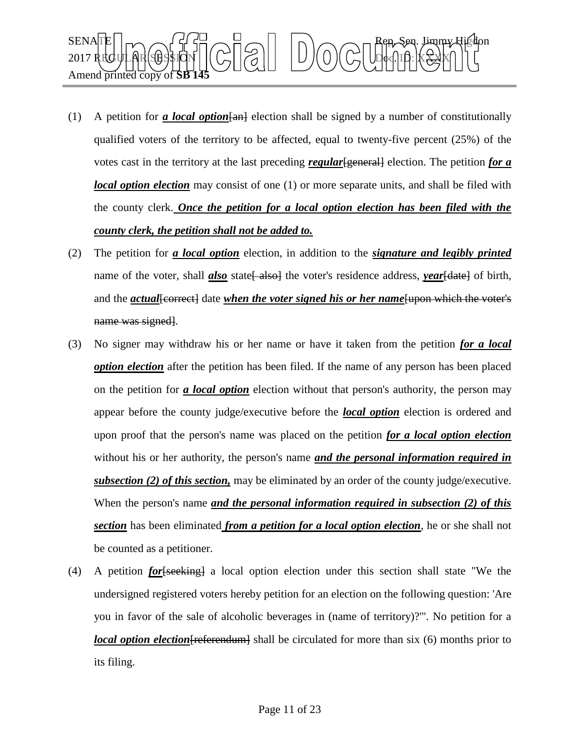

- (1) A petition for *a local option*  $\{$ and election shall be signed by a number of constitutionally qualified voters of the territory to be affected, equal to twenty-five percent (25%) of the votes cast in the territory at the last preceding *regular* [general] election. The petition *for a local option election* may consist of one (1) or more separate units, and shall be filed with the county clerk. *Once the petition for a local option election has been filed with the county clerk, the petition shall not be added to.*
- (2) The petition for *a local option* election, in addition to the *signature and legibly printed* name of the voter, shall *also* state<del>[ also]</del> the voter's residence address, *year*[date] of birth, and the *actual* [correct] date *when the voter signed his or her name* [upon which the voter's name was signed.
- (3) No signer may withdraw his or her name or have it taken from the petition *for a local option election* after the petition has been filed. If the name of any person has been placed on the petition for *a local option* election without that person's authority, the person may appear before the county judge/executive before the *local option* election is ordered and upon proof that the person's name was placed on the petition *for a local option election* without his or her authority, the person's name *and the personal information required in subsection (2) of this section,* may be eliminated by an order of the county judge/executive. When the person's name *and the personal information required in subsection (2) of this section* has been eliminated *from a petition for a local option election*, he or she shall not be counted as a petitioner.
- (4) A petition *for*[seeking] a local option election under this section shall state "We the undersigned registered voters hereby petition for an election on the following question: 'Are you in favor of the sale of alcoholic beverages in (name of territory)?'". No petition for a *local option election* [referendum] shall be circulated for more than six (6) months prior to its filing.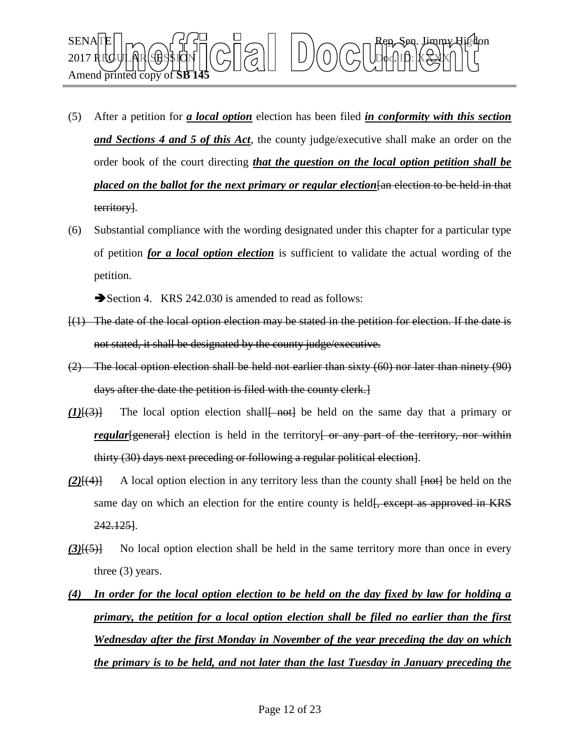

- (5) After a petition for *a local option* election has been filed *in conformity with this section and Sections 4 and 5 of this Act*, the county judge/executive shall make an order on the order book of the court directing *that the question on the local option petition shall be placed on the ballot for the next primary or regular election*  $\frac{1}{n}$  election to be held in that territory].
- (6) Substantial compliance with the wording designated under this chapter for a particular type of petition *for a local option election* is sufficient to validate the actual wording of the petition.

Section 4. KRS 242.030 is amended to read as follows:

- [(1) The date of the local option election may be stated in the petition for election. If the date is not stated, it shall be designated by the county judge/executive.
- (2) The local option election shall be held not earlier than sixty (60) nor later than ninety (90) days after the date the petition is filed with the county clerk.]
- *(1)*[(3)] The local option election shall not be held on the same day that a primary or *regular* [general] election is held in the territory or any part of the territory, nor within thirty (30) days next preceding or following a regular political election].
- *(2)*[(4)] A local option election in any territory less than the county shall  $\overline{[not]}$  be held on the same day on which an election for the entire county is held  $\frac{1}{2}$ , except as approved in KRS 242.125].
- *(3)*[(5)] No local option election shall be held in the same territory more than once in every three (3) years.
- *(4) In order for the local option election to be held on the day fixed by law for holding a primary, the petition for a local option election shall be filed no earlier than the first Wednesday after the first Monday in November of the year preceding the day on which the primary is to be held, and not later than the last Tuesday in January preceding the*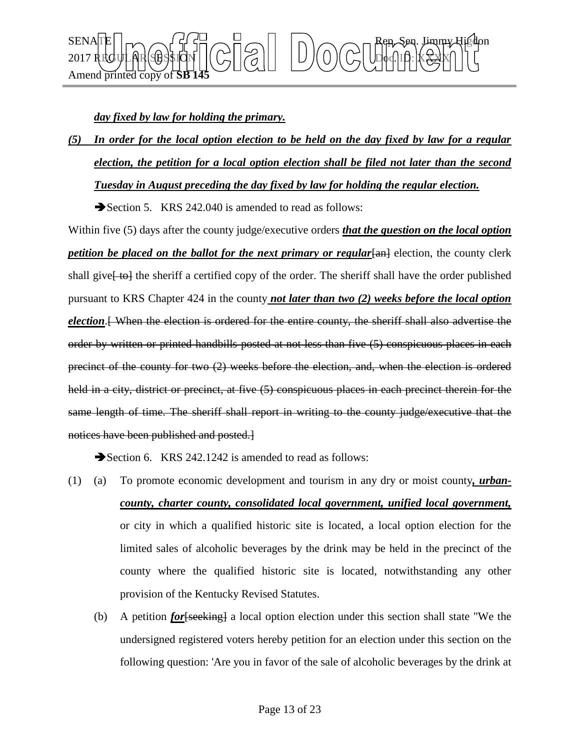

## *day fixed by law for holding the primary.*

*(5) In order for the local option election to be held on the day fixed by law for a regular election, the petition for a local option election shall be filed not later than the second Tuesday in August preceding the day fixed by law for holding the regular election.*

Section 5. KRS 242.040 is amended to read as follows:

Within five (5) days after the county judge/executive orders *that the question on the local option petition be placed on the ballot for the next primary or regular*[an] election, the county clerk shall give<del>[to]</del> the sheriff a certified copy of the order. The sheriff shall have the order published pursuant to KRS Chapter 424 in the county *not later than two (2) weeks before the local option election*.[ When the election is ordered for the entire county, the sheriff shall also advertise the order by written or printed handbills posted at not less than five (5) conspicuous places in each precinct of the county for two (2) weeks before the election, and, when the election is ordered held in a city, district or precinct, at five  $(5)$  conspicuous places in each precinct therein for the same length of time. The sheriff shall report in writing to the county judge/executive that the notices have been published and posted.]

Section 6. KRS 242.1242 is amended to read as follows:

- (1) (a) To promote economic development and tourism in any dry or moist county*, urbancounty, charter county, consolidated local government, unified local government,* or city in which a qualified historic site is located, a local option election for the limited sales of alcoholic beverages by the drink may be held in the precinct of the county where the qualified historic site is located, notwithstanding any other provision of the Kentucky Revised Statutes.
	- (b) A petition *for*[seeking] a local option election under this section shall state "We the undersigned registered voters hereby petition for an election under this section on the following question: 'Are you in favor of the sale of alcoholic beverages by the drink at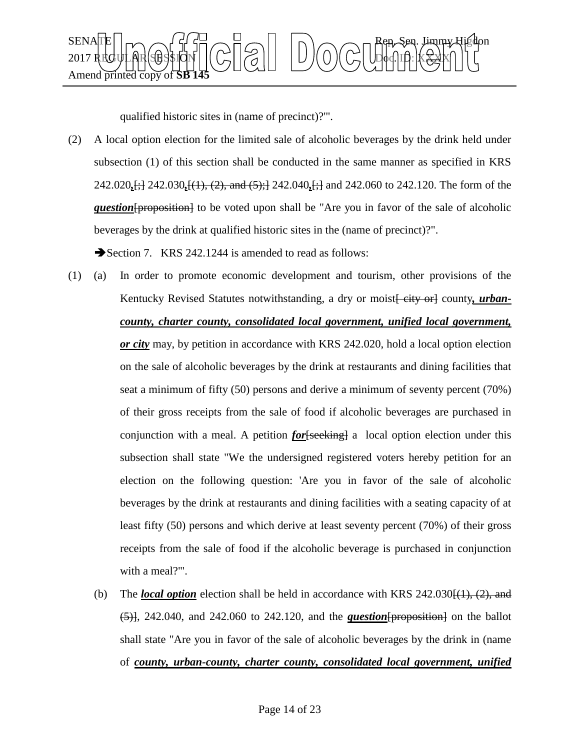

qualified historic sites in (name of precinct)?'".

(2) A local option election for the limited sale of alcoholic beverages by the drink held under subsection (1) of this section shall be conducted in the same manner as specified in KRS 242.020*,*[;] 242.030*,*[(1), (2), and (5);] 242.040*,*[;] and 242.060 to 242.120. The form of the *question* [proposition] to be voted upon shall be "Are you in favor of the sale of alcoholic beverages by the drink at qualified historic sites in the (name of precinct)?".

Section 7. KRS 242.1244 is amended to read as follows:

- (1) (a) In order to promote economic development and tourism, other provisions of the Kentucky Revised Statutes notwithstanding, a dry or moist *eity* or county, *urbancounty, charter county, consolidated local government, unified local government, or city* may, by petition in accordance with KRS 242.020, hold a local option election on the sale of alcoholic beverages by the drink at restaurants and dining facilities that seat a minimum of fifty (50) persons and derive a minimum of seventy percent (70%) of their gross receipts from the sale of food if alcoholic beverages are purchased in conjunction with a meal. A petition *for*[seeking] a local option election under this subsection shall state "We the undersigned registered voters hereby petition for an election on the following question: 'Are you in favor of the sale of alcoholic beverages by the drink at restaurants and dining facilities with a seating capacity of at least fifty (50) persons and which derive at least seventy percent (70%) of their gross receipts from the sale of food if the alcoholic beverage is purchased in conjunction with a meal?".
	- (b) The *local option* election shall be held in accordance with KRS  $242.030\{(1), (2),$  and  $(5)$ , 242.040, and 242.060 to 242.120, and the *question* [proposition] on the ballot shall state "Are you in favor of the sale of alcoholic beverages by the drink in (name of *county, urban-county, charter county, consolidated local government, unified*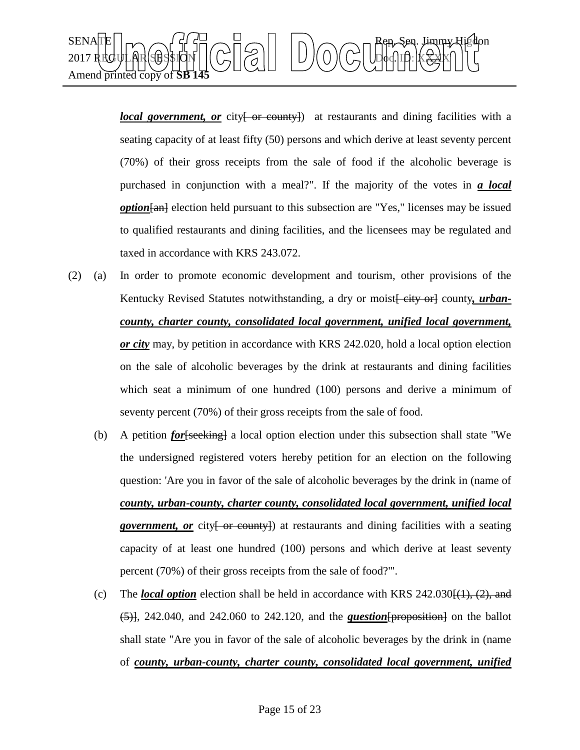

*local government, or* city or constraints and dining facilities with a seating capacity of at least fifty (50) persons and which derive at least seventy percent (70%) of their gross receipts from the sale of food if the alcoholic beverage is purchased in conjunction with a meal?". If the majority of the votes in *a local option* [and election held pursuant to this subsection are "Yes," licenses may be issued to qualified restaurants and dining facilities, and the licensees may be regulated and taxed in accordance with KRS 243.072.

- (2) (a) In order to promote economic development and tourism, other provisions of the Kentucky Revised Statutes notwithstanding, a dry or moist *eity* or county, *urbancounty, charter county, consolidated local government, unified local government, or city* may, by petition in accordance with KRS 242.020, hold a local option election on the sale of alcoholic beverages by the drink at restaurants and dining facilities which seat a minimum of one hundred (100) persons and derive a minimum of seventy percent (70%) of their gross receipts from the sale of food.
	- (b) A petition *for*[seeking] a local option election under this subsection shall state "We the undersigned registered voters hereby petition for an election on the following question: 'Are you in favor of the sale of alcoholic beverages by the drink in (name of *county, urban-county, charter county, consolidated local government, unified local government, or* city { or county}) at restaurants and dining facilities with a seating capacity of at least one hundred (100) persons and which derive at least seventy percent (70%) of their gross receipts from the sale of food?'".
	- (c) The *local option* election shall be held in accordance with KRS  $242.030\{(\frac{1}{1}, \frac{2}{5}, \frac{2}{3})\}$  $(5)$ , 242.040, and 242.060 to 242.120, and the *question* [proposition] on the ballot shall state "Are you in favor of the sale of alcoholic beverages by the drink in (name of *county, urban-county, charter county, consolidated local government, unified*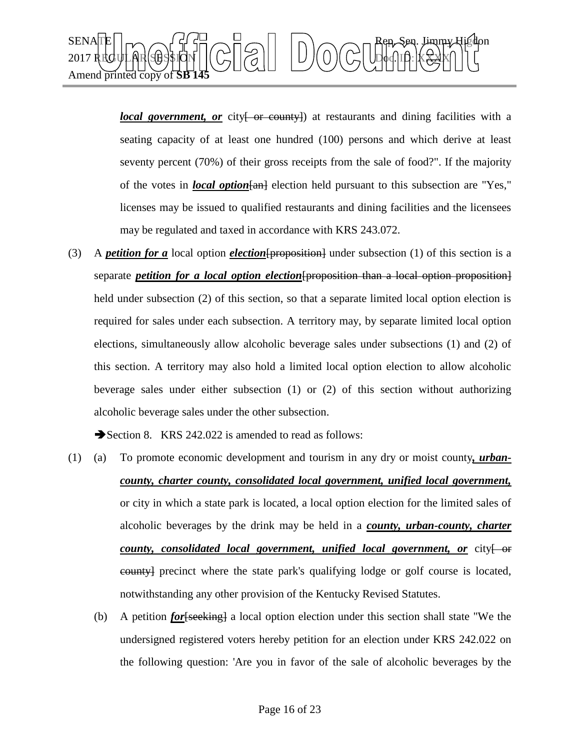

*local government, or* city <del>[ or county]</del> at restaurants and dining facilities with a seating capacity of at least one hundred (100) persons and which derive at least seventy percent (70%) of their gross receipts from the sale of food?". If the majority of the votes in *local option* [an] election held pursuant to this subsection are "Yes," licenses may be issued to qualified restaurants and dining facilities and the licensees may be regulated and taxed in accordance with KRS 243.072.

(3) A *petition for a* local option *election*[proposition] under subsection (1) of this section is a separate *petition for a local option election*[proposition than a local option proposition] held under subsection (2) of this section, so that a separate limited local option election is required for sales under each subsection. A territory may, by separate limited local option elections, simultaneously allow alcoholic beverage sales under subsections (1) and (2) of this section. A territory may also hold a limited local option election to allow alcoholic beverage sales under either subsection (1) or (2) of this section without authorizing alcoholic beverage sales under the other subsection.

Section 8. KRS 242.022 is amended to read as follows:

- (1) (a) To promote economic development and tourism in any dry or moist county*, urbancounty, charter county, consolidated local government, unified local government,* or city in which a state park is located, a local option election for the limited sales of alcoholic beverages by the drink may be held in a *county, urban-county, charter county, consolidated local government, unified local government, or city* or county] precinct where the state park's qualifying lodge or golf course is located, notwithstanding any other provision of the Kentucky Revised Statutes.
	- (b) A petition *for*[seeking] a local option election under this section shall state "We the undersigned registered voters hereby petition for an election under KRS 242.022 on the following question: 'Are you in favor of the sale of alcoholic beverages by the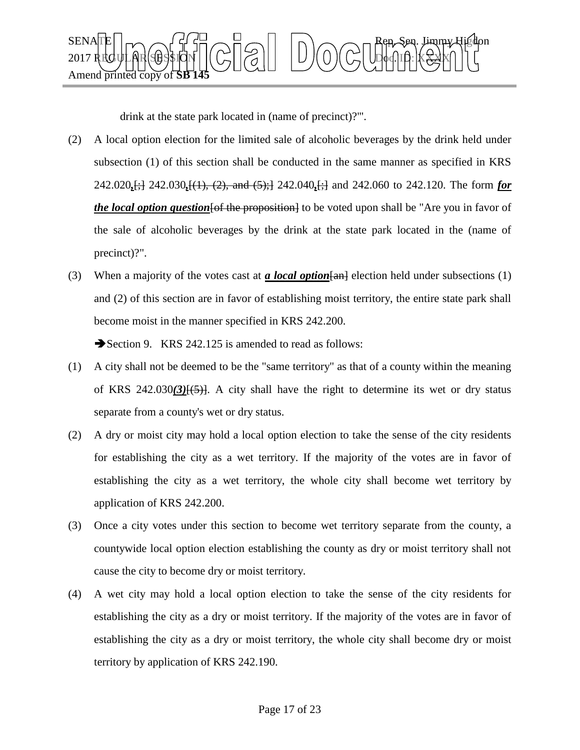

drink at the state park located in (name of precinct)?'".

- (2) A local option election for the limited sale of alcoholic beverages by the drink held under subsection (1) of this section shall be conducted in the same manner as specified in KRS 242.020*,*[;] 242.030*,*[(1), (2), and (5);] 242.040*,*[;] and 242.060 to 242.120. The form *for the local option question* [of the proposition] to be voted upon shall be "Are you in favor of the sale of alcoholic beverages by the drink at the state park located in the (name of precinct)?".
- (3) When a majority of the votes cast at *a local option*[an] election held under subsections (1) and (2) of this section are in favor of establishing moist territory, the entire state park shall become moist in the manner specified in KRS 242.200.

Section 9. KRS 242.125 is amended to read as follows:

- (1) A city shall not be deemed to be the "same territory" as that of a county within the meaning of KRS 242.030*(3)*[(5)]. A city shall have the right to determine its wet or dry status separate from a county's wet or dry status.
- (2) A dry or moist city may hold a local option election to take the sense of the city residents for establishing the city as a wet territory. If the majority of the votes are in favor of establishing the city as a wet territory, the whole city shall become wet territory by application of KRS 242.200.
- (3) Once a city votes under this section to become wet territory separate from the county, a countywide local option election establishing the county as dry or moist territory shall not cause the city to become dry or moist territory.
- (4) A wet city may hold a local option election to take the sense of the city residents for establishing the city as a dry or moist territory. If the majority of the votes are in favor of establishing the city as a dry or moist territory, the whole city shall become dry or moist territory by application of KRS 242.190.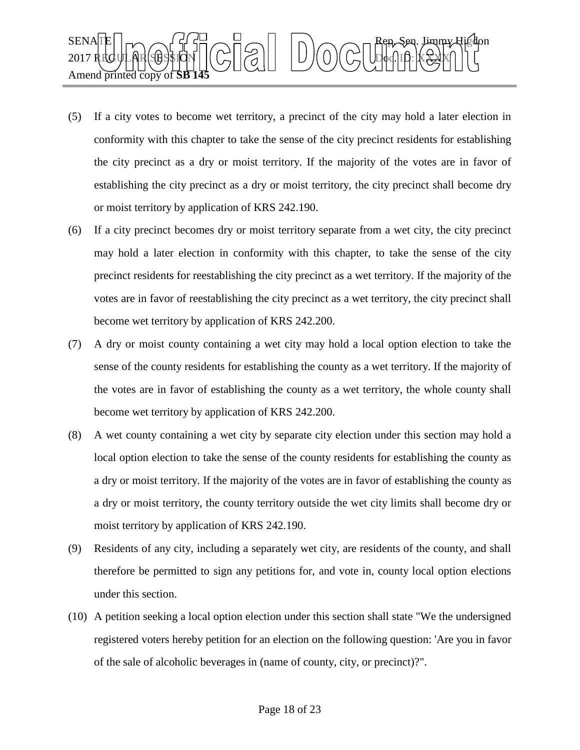

- (5) If a city votes to become wet territory, a precinct of the city may hold a later election in conformity with this chapter to take the sense of the city precinct residents for establishing the city precinct as a dry or moist territory. If the majority of the votes are in favor of establishing the city precinct as a dry or moist territory, the city precinct shall become dry or moist territory by application of KRS 242.190.
- (6) If a city precinct becomes dry or moist territory separate from a wet city, the city precinct may hold a later election in conformity with this chapter, to take the sense of the city precinct residents for reestablishing the city precinct as a wet territory. If the majority of the votes are in favor of reestablishing the city precinct as a wet territory, the city precinct shall become wet territory by application of KRS 242.200.
- (7) A dry or moist county containing a wet city may hold a local option election to take the sense of the county residents for establishing the county as a wet territory. If the majority of the votes are in favor of establishing the county as a wet territory, the whole county shall become wet territory by application of KRS 242.200.
- (8) A wet county containing a wet city by separate city election under this section may hold a local option election to take the sense of the county residents for establishing the county as a dry or moist territory. If the majority of the votes are in favor of establishing the county as a dry or moist territory, the county territory outside the wet city limits shall become dry or moist territory by application of KRS 242.190.
- (9) Residents of any city, including a separately wet city, are residents of the county, and shall therefore be permitted to sign any petitions for, and vote in, county local option elections under this section.
- (10) A petition seeking a local option election under this section shall state "We the undersigned registered voters hereby petition for an election on the following question: 'Are you in favor of the sale of alcoholic beverages in (name of county, city, or precinct)?".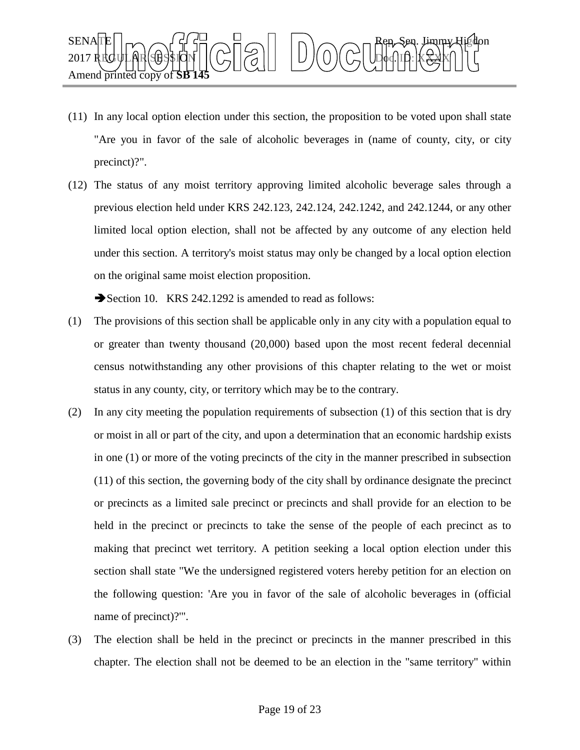

- (11) In any local option election under this section, the proposition to be voted upon shall state "Are you in favor of the sale of alcoholic beverages in (name of county, city, or city precinct)?".
- (12) The status of any moist territory approving limited alcoholic beverage sales through a previous election held under KRS 242.123, 242.124, 242.1242, and 242.1244, or any other limited local option election, shall not be affected by any outcome of any election held under this section. A territory's moist status may only be changed by a local option election on the original same moist election proposition.

Section 10. KRS 242.1292 is amended to read as follows:

- (1) The provisions of this section shall be applicable only in any city with a population equal to or greater than twenty thousand (20,000) based upon the most recent federal decennial census notwithstanding any other provisions of this chapter relating to the wet or moist status in any county, city, or territory which may be to the contrary.
- (2) In any city meeting the population requirements of subsection (1) of this section that is dry or moist in all or part of the city, and upon a determination that an economic hardship exists in one (1) or more of the voting precincts of the city in the manner prescribed in subsection (11) of this section, the governing body of the city shall by ordinance designate the precinct or precincts as a limited sale precinct or precincts and shall provide for an election to be held in the precinct or precincts to take the sense of the people of each precinct as to making that precinct wet territory. A petition seeking a local option election under this section shall state "We the undersigned registered voters hereby petition for an election on the following question: 'Are you in favor of the sale of alcoholic beverages in (official name of precinct)?'".
- (3) The election shall be held in the precinct or precincts in the manner prescribed in this chapter. The election shall not be deemed to be an election in the "same territory" within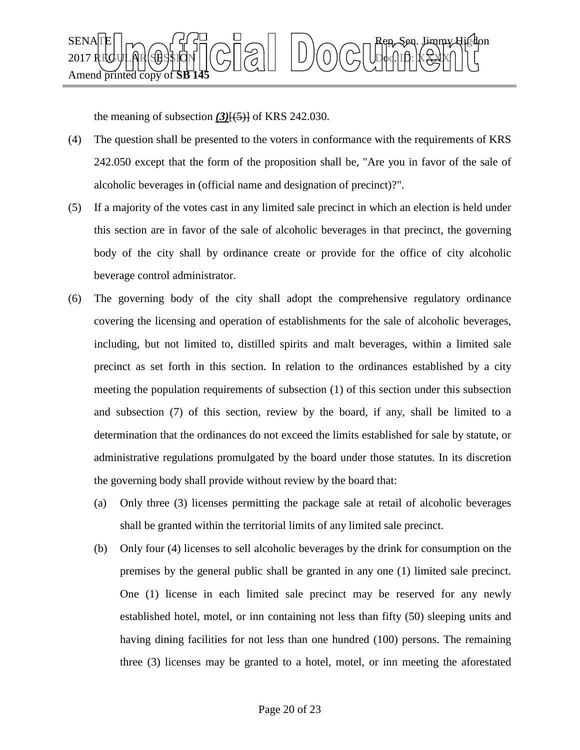

the meaning of subsection  $(3)$ <del>[ $(5)$ ]</del> of KRS 242.030.

- (4) The question shall be presented to the voters in conformance with the requirements of KRS 242.050 except that the form of the proposition shall be, "Are you in favor of the sale of alcoholic beverages in (official name and designation of precinct)?".
- (5) If a majority of the votes cast in any limited sale precinct in which an election is held under this section are in favor of the sale of alcoholic beverages in that precinct, the governing body of the city shall by ordinance create or provide for the office of city alcoholic beverage control administrator.
- (6) The governing body of the city shall adopt the comprehensive regulatory ordinance covering the licensing and operation of establishments for the sale of alcoholic beverages, including, but not limited to, distilled spirits and malt beverages, within a limited sale precinct as set forth in this section. In relation to the ordinances established by a city meeting the population requirements of subsection (1) of this section under this subsection and subsection (7) of this section, review by the board, if any, shall be limited to a determination that the ordinances do not exceed the limits established for sale by statute, or administrative regulations promulgated by the board under those statutes. In its discretion the governing body shall provide without review by the board that:
	- (a) Only three (3) licenses permitting the package sale at retail of alcoholic beverages shall be granted within the territorial limits of any limited sale precinct.
	- (b) Only four (4) licenses to sell alcoholic beverages by the drink for consumption on the premises by the general public shall be granted in any one (1) limited sale precinct. One (1) license in each limited sale precinct may be reserved for any newly established hotel, motel, or inn containing not less than fifty (50) sleeping units and having dining facilities for not less than one hundred (100) persons. The remaining three (3) licenses may be granted to a hotel, motel, or inn meeting the aforestated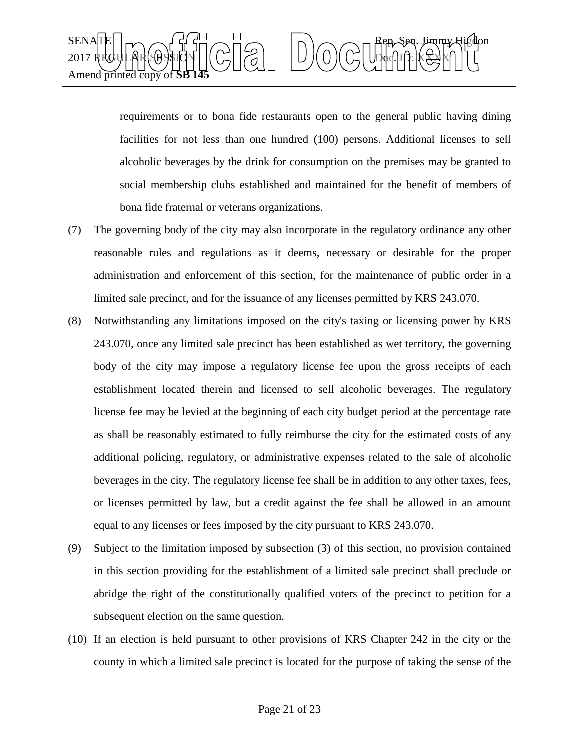

requirements or to bona fide restaurants open to the general public having dining facilities for not less than one hundred (100) persons. Additional licenses to sell alcoholic beverages by the drink for consumption on the premises may be granted to social membership clubs established and maintained for the benefit of members of bona fide fraternal or veterans organizations.

- (7) The governing body of the city may also incorporate in the regulatory ordinance any other reasonable rules and regulations as it deems, necessary or desirable for the proper administration and enforcement of this section, for the maintenance of public order in a limited sale precinct, and for the issuance of any licenses permitted by KRS 243.070.
- (8) Notwithstanding any limitations imposed on the city's taxing or licensing power by KRS 243.070, once any limited sale precinct has been established as wet territory, the governing body of the city may impose a regulatory license fee upon the gross receipts of each establishment located therein and licensed to sell alcoholic beverages. The regulatory license fee may be levied at the beginning of each city budget period at the percentage rate as shall be reasonably estimated to fully reimburse the city for the estimated costs of any additional policing, regulatory, or administrative expenses related to the sale of alcoholic beverages in the city. The regulatory license fee shall be in addition to any other taxes, fees, or licenses permitted by law, but a credit against the fee shall be allowed in an amount equal to any licenses or fees imposed by the city pursuant to KRS 243.070.
- (9) Subject to the limitation imposed by subsection (3) of this section, no provision contained in this section providing for the establishment of a limited sale precinct shall preclude or abridge the right of the constitutionally qualified voters of the precinct to petition for a subsequent election on the same question.
- (10) If an election is held pursuant to other provisions of KRS Chapter 242 in the city or the county in which a limited sale precinct is located for the purpose of taking the sense of the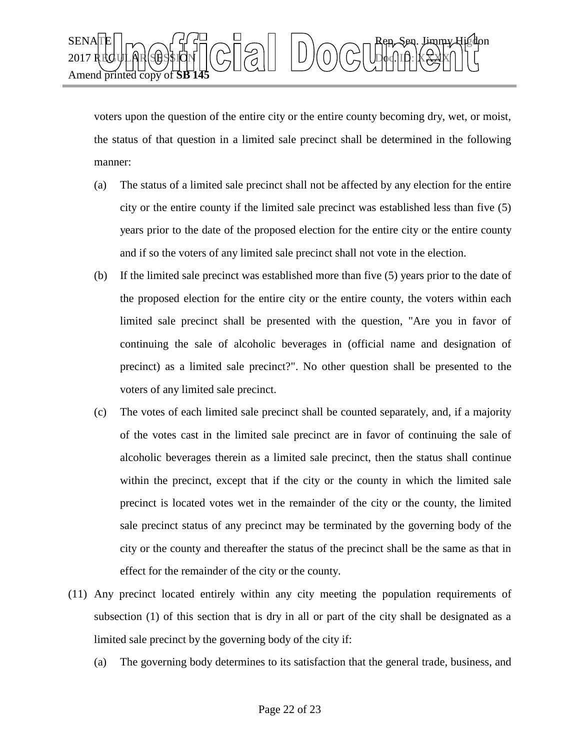

voters upon the question of the entire city or the entire county becoming dry, wet, or moist, the status of that question in a limited sale precinct shall be determined in the following manner:

- (a) The status of a limited sale precinct shall not be affected by any election for the entire city or the entire county if the limited sale precinct was established less than five (5) years prior to the date of the proposed election for the entire city or the entire county and if so the voters of any limited sale precinct shall not vote in the election.
- (b) If the limited sale precinct was established more than five (5) years prior to the date of the proposed election for the entire city or the entire county, the voters within each limited sale precinct shall be presented with the question, "Are you in favor of continuing the sale of alcoholic beverages in (official name and designation of precinct) as a limited sale precinct?". No other question shall be presented to the voters of any limited sale precinct.
- (c) The votes of each limited sale precinct shall be counted separately, and, if a majority of the votes cast in the limited sale precinct are in favor of continuing the sale of alcoholic beverages therein as a limited sale precinct, then the status shall continue within the precinct, except that if the city or the county in which the limited sale precinct is located votes wet in the remainder of the city or the county, the limited sale precinct status of any precinct may be terminated by the governing body of the city or the county and thereafter the status of the precinct shall be the same as that in effect for the remainder of the city or the county.
- (11) Any precinct located entirely within any city meeting the population requirements of subsection (1) of this section that is dry in all or part of the city shall be designated as a limited sale precinct by the governing body of the city if:
	- (a) The governing body determines to its satisfaction that the general trade, business, and